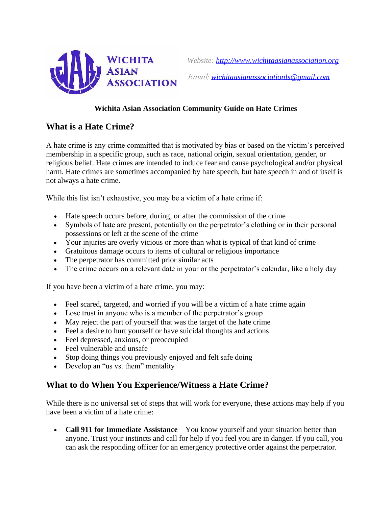

## **Wichita Asian Association Community Guide on Hate Crimes**

## **What is a Hate Crime?**

A hate crime is any crime committed that is motivated by bias or based on the victim's perceived membership in a specific group, such as race, national origin, sexual orientation, gender, or religious belief. Hate crimes are intended to induce fear and cause psychological and/or physical harm. Hate crimes are sometimes accompanied by hate speech, but hate speech in and of itself is not always a hate crime.

While this list isn't exhaustive, you may be a victim of a hate crime if:

- Hate speech occurs before, during, or after the commission of the crime
- Symbols of hate are present, potentially on the perpetrator's clothing or in their personal possessions or left at the scene of the crime
- Your injuries are overly vicious or more than what is typical of that kind of crime
- Gratuitous damage occurs to items of cultural or religious importance
- The perpetrator has committed prior similar acts
- The crime occurs on a relevant date in your or the perpetrator's calendar, like a holy day

If you have been a victim of a hate crime, you may:

- Feel scared, targeted, and worried if you will be a victim of a hate crime again
- Lose trust in anyone who is a member of the perpetrator's group
- May reject the part of yourself that was the target of the hate crime
- Feel a desire to hurt yourself or have suicidal thoughts and actions
- Feel depressed, anxious, or preoccupied
- Feel vulnerable and unsafe
- Stop doing things you previously enjoyed and felt safe doing
- Develop an "us vs. them" mentality

## **What to do When You Experience/Witness a Hate Crime?**

While there is no universal set of steps that will work for everyone, these actions may help if you have been a victim of a hate crime:

• **Call 911 for Immediate Assistance** – You know yourself and your situation better than anyone. Trust your instincts and call for help if you feel you are in danger. If you call, you can ask the responding officer for an emergency protective order against the perpetrator.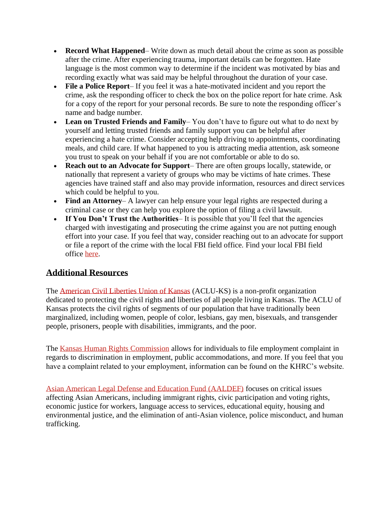- **Record What Happened** Write down as much detail about the crime as soon as possible after the crime. After experiencing trauma, important details can be forgotten. Hate language is the most common way to determine if the incident was motivated by bias and recording exactly what was said may be helpful throughout the duration of your case.
- **File a Police Report** If you feel it was a hate-motivated incident and you report the crime, ask the responding officer to check the box on the police report for hate crime. Ask for a copy of the report for your personal records. Be sure to note the responding officer's name and badge number.
- **Lean on Trusted Friends and Family** You don't have to figure out what to do next by yourself and letting trusted friends and family support you can be helpful after experiencing a hate crime. Consider accepting help driving to appointments, coordinating meals, and child care. If what happened to you is attracting media attention, ask someone you trust to speak on your behalf if you are not comfortable or able to do so.
- **Reach out to an Advocate for Support** There are often groups locally, statewide, or nationally that represent a variety of groups who may be victims of hate crimes. These agencies have trained staff and also may provide information, resources and direct services which could be helpful to you.
- **Find an Attorney–** A lawyer can help ensure your legal rights are respected during a criminal case or they can help you explore the option of filing a civil lawsuit.
- **If You Don't Trust the Authorities** It is possible that you'll feel that the agencies charged with investigating and prosecuting the crime against you are not putting enough effort into your case. If you feel that way, consider reaching out to an advocate for support or file a report of the crime with the local FBI field office. Find your local FBI field office [here.](https://www.fbi.gov/contact-us/field-offices)

## **Additional Resources**

The [American Civil Liberties Union of Kansas](https://www.aclukansas.org/en) (ACLU-KS) is a non-profit organization dedicated to protecting the civil rights and liberties of all people living in Kansas. The ACLU of Kansas protects the civil rights of segments of our population that have traditionally been marginalized, including women, people of color, lesbians, gay men, bisexuals, and transgender people, prisoners, people with disabilities, immigrants, and the poor.

The [Kansas Human Rights Commission](http://www.khrc.net/complaint.html) allows for individuals to file employment complaint in regards to discrimination in employment, public accommodations, and more. If you feel that you have a complaint related to your employment, information can be found on the KHRC's website.

[Asian American Legal Defense and Education Fund \(AALDEF\)](http://aaldef.org/) focuses on critical issues affecting Asian Americans, including immigrant rights, civic participation and voting rights, economic justice for workers, language access to services, educational equity, housing and environmental justice, and the elimination of anti-Asian violence, police misconduct, and human trafficking.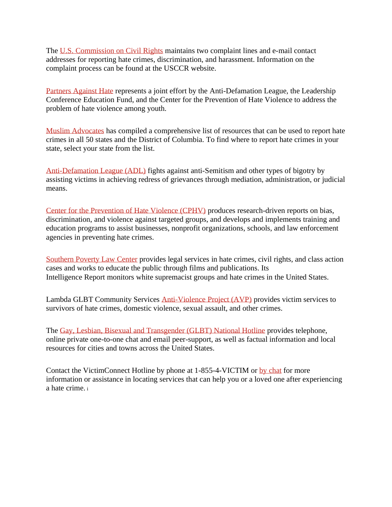The [U.S. Commission on Civil Rights](https://www.usccr.gov/filing/index.php) maintains two complaint lines and e-mail contact addresses for reporting hate crimes, discrimination, and harassment. Information on the complaint process can be found at the USCCR website.

[Partners Against Hate](http://www.partnersagainsthate.org/) represents a joint effort by the Anti-Defamation League, the Leadership Conference Education Fund, and the Center for the Prevention of Hate Violence to address the problem of hate violence among youth.

[Muslim Advocates](https://www.muslimadvocates.org/hate/reporting-hate-crimes-in-your-state/) has compiled a comprehensive list of resources that can be used to report hate crimes in all 50 states and the District of Columbia. To find where to report hate crimes in your state, select your state from the list.

[Anti-Defamation League \(ADL\)](http://www.adl.org/) fights against anti-Semitism and other types of bigotry by assisting victims in achieving redress of grievances through mediation, administration, or judicial means.

[Center for the Prevention of Hate Violence \(CPHV\)](http://www.preventinghate.org/) produces research-driven reports on bias, discrimination, and violence against targeted groups, and develops and implements training and education programs to assist businesses, nonprofit organizations, schools, and law enforcement agencies in preventing hate crimes.

[Southern Poverty Law Center](https://www.splcenter.org/) provides legal services in hate crimes, civil rights, and class action cases and works to educate the public through films and publications. Its Intelligence Report monitors white supremacist groups and hate crimes in the United States.

Lambda GLBT Community Services [Anti-Violence Project \(AVP\)](http://www.qrd.org/qrd/www/orgs/avproject/avp_gen.htm) provides victim services to survivors of hate crimes, domestic violence, sexual assault, and other crimes.

The [Gay, Lesbian, Bisexual and Transgender \(GLBT\) National Hotline](http://www.glbthotline.org/) provides telephone, online private one-to-one chat and email peer-support, as well as factual information and local resources for cities and towns across the United States.

Contact the VictimConnect Hotline by phone at 1-855-4-VICTIM or by [chat](https://chat.victimsofcrime.org/victim-connect/terms-of-service.jsp) for more information or assistance in locating services that can help you or a loved one after experiencing a hate crime. <sup>i</sup>